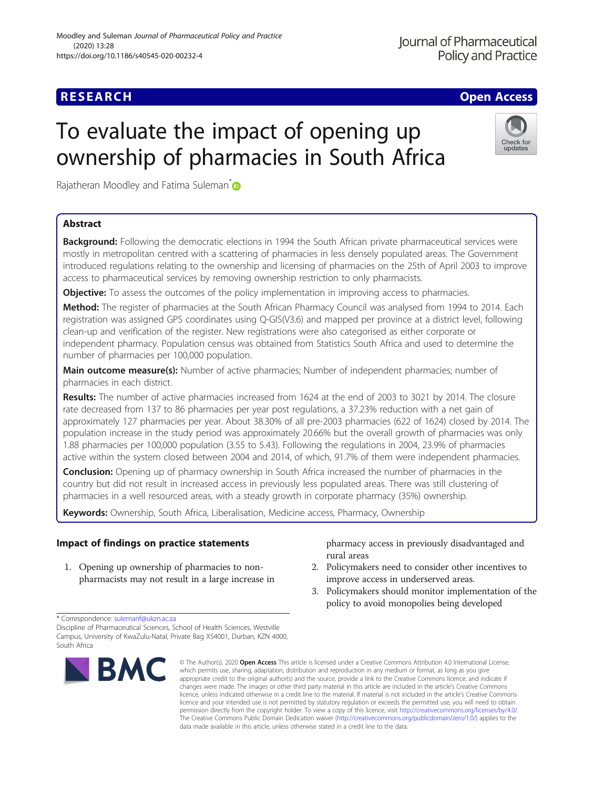Check for updates

# To evaluate the impact of opening up ownership of pharmacies in South Africa

Rajatheran Moodley and Fatima Suleman<sup>\*</sup>

# Abstract

Background: Following the democratic elections in 1994 the South African private pharmaceutical services were mostly in metropolitan centred with a scattering of pharmacies in less densely populated areas. The Government introduced regulations relating to the ownership and licensing of pharmacies on the 25th of April 2003 to improve access to pharmaceutical services by removing ownership restriction to only pharmacists.

**Objective:** To assess the outcomes of the policy implementation in improving access to pharmacies.

Method: The register of pharmacies at the South African Pharmacy Council was analysed from 1994 to 2014. Each registration was assigned GPS coordinates using Q-GIS(V3.6) and mapped per province at a district level, following clean-up and verification of the register. New registrations were also categorised as either corporate or independent pharmacy. Population census was obtained from Statistics South Africa and used to determine the number of pharmacies per 100,000 population.

Main outcome measure(s): Number of active pharmacies; Number of independent pharmacies; number of pharmacies in each district.

Results: The number of active pharmacies increased from 1624 at the end of 2003 to 3021 by 2014. The closure rate decreased from 137 to 86 pharmacies per year post regulations, a 37.23% reduction with a net gain of approximately 127 pharmacies per year. About 38.30% of all pre-2003 pharmacies (622 of 1624) closed by 2014. The population increase in the study period was approximately 20.66% but the overall growth of pharmacies was only 1.88 pharmacies per 100,000 population (3.55 to 5.43). Following the regulations in 2004, 23.9% of pharmacies active within the system closed between 2004 and 2014, of which, 91.7% of them were independent pharmacies.

**Conclusion:** Opening up of pharmacy ownership in South Africa increased the number of pharmacies in the country but did not result in increased access in previously less populated areas. There was still clustering of pharmacies in a well resourced areas, with a steady growth in corporate pharmacy (35%) ownership.

Keywords: Ownership, South Africa, Liberalisation, Medicine access, Pharmacy, Ownership

# Impact of findings on practice statements

1. Opening up ownership of pharmacies to nonpharmacists may not result in a large increase in pharmacy access in previously disadvantaged and rural areas

- 2. Policymakers need to consider other incentives to improve access in underserved areas.
- 3. Policymakers should monitor implementation of the policy to avoid monopolies being developed

Discipline of Pharmaceutical Sciences, School of Health Sciences, Westville Campus, University of KwaZulu-Natal, Private Bag X54001, Durban, KZN 4000, South Africa



<sup>©</sup> The Author(s), 2020 **Open Access** This article is licensed under a Creative Commons Attribution 4.0 International License, which permits use, sharing, adaptation, distribution and reproduction in any medium or format, as long as you give appropriate credit to the original author(s) and the source, provide a link to the Creative Commons licence, and indicate if changes were made. The images or other third party material in this article are included in the article's Creative Commons licence, unless indicated otherwise in a credit line to the material. If material is not included in the article's Creative Commons licence and your intended use is not permitted by statutory regulation or exceeds the permitted use, you will need to obtain permission directly from the copyright holder. To view a copy of this licence, visit [http://creativecommons.org/licenses/by/4.0/.](http://creativecommons.org/licenses/by/4.0/) The Creative Commons Public Domain Dedication waiver [\(http://creativecommons.org/publicdomain/zero/1.0/](http://creativecommons.org/publicdomain/zero/1.0/)) applies to the data made available in this article, unless otherwise stated in a credit line to the data.

<sup>\*</sup> Correspondence: [sulemanf@ukzn.ac.za](mailto:sulemanf@ukzn.ac.za)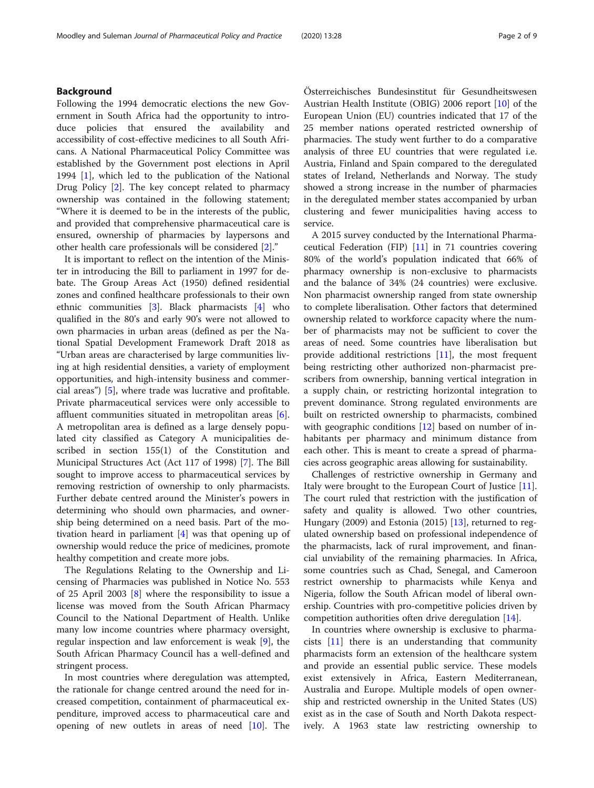# Background

Following the 1994 democratic elections the new Government in South Africa had the opportunity to introduce policies that ensured the availability and accessibility of cost-effective medicines to all South Africans. A National Pharmaceutical Policy Committee was established by the Government post elections in April 1994 [\[1](#page-7-0)], which led to the publication of the National Drug Policy [[2](#page-7-0)]. The key concept related to pharmacy ownership was contained in the following statement; "Where it is deemed to be in the interests of the public, and provided that comprehensive pharmaceutical care is ensured, ownership of pharmacies by laypersons and other health care professionals will be considered [\[2\]](#page-7-0)."

It is important to reflect on the intention of the Minister in introducing the Bill to parliament in 1997 for debate. The Group Areas Act (1950) defined residential zones and confined healthcare professionals to their own ethnic communities [\[3](#page-7-0)]. Black pharmacists [\[4\]](#page-7-0) who qualified in the 80's and early 90's were not allowed to own pharmacies in urban areas (defined as per the National Spatial Development Framework Draft 2018 as "Urban areas are characterised by large communities living at high residential densities, a variety of employment opportunities, and high-intensity business and commercial areas") [[5\]](#page-7-0), where trade was lucrative and profitable. Private pharmaceutical services were only accessible to affluent communities situated in metropolitan areas [\[6](#page-7-0)]. A metropolitan area is defined as a large densely populated city classified as Category A municipalities described in section 155(1) of the Constitution and Municipal Structures Act (Act 117 of 1998) [[7\]](#page-7-0). The Bill sought to improve access to pharmaceutical services by removing restriction of ownership to only pharmacists. Further debate centred around the Minister's powers in determining who should own pharmacies, and ownership being determined on a need basis. Part of the motivation heard in parliament [[4\]](#page-7-0) was that opening up of ownership would reduce the price of medicines, promote healthy competition and create more jobs.

The Regulations Relating to the Ownership and Licensing of Pharmacies was published in Notice No. 553 of 25 April 2003 [\[8](#page-8-0)] where the responsibility to issue a license was moved from the South African Pharmacy Council to the National Department of Health. Unlike many low income countries where pharmacy oversight, regular inspection and law enforcement is weak [[9\]](#page-8-0), the South African Pharmacy Council has a well-defined and stringent process.

In most countries where deregulation was attempted, the rationale for change centred around the need for increased competition, containment of pharmaceutical expenditure, improved access to pharmaceutical care and opening of new outlets in areas of need [[10](#page-8-0)]. The

Österreichisches Bundesinstitut für Gesundheitswesen Austrian Health Institute (OBIG) 2006 report [[10](#page-8-0)] of the European Union (EU) countries indicated that 17 of the 25 member nations operated restricted ownership of pharmacies. The study went further to do a comparative analysis of three EU countries that were regulated i.e. Austria, Finland and Spain compared to the deregulated states of Ireland, Netherlands and Norway. The study showed a strong increase in the number of pharmacies in the deregulated member states accompanied by urban clustering and fewer municipalities having access to service.

A 2015 survey conducted by the International Pharmaceutical Federation (FIP) [[11\]](#page-8-0) in 71 countries covering 80% of the world's population indicated that 66% of pharmacy ownership is non-exclusive to pharmacists and the balance of 34% (24 countries) were exclusive. Non pharmacist ownership ranged from state ownership to complete liberalisation. Other factors that determined ownership related to workforce capacity where the number of pharmacists may not be sufficient to cover the areas of need. Some countries have liberalisation but provide additional restrictions [\[11](#page-8-0)], the most frequent being restricting other authorized non-pharmacist prescribers from ownership, banning vertical integration in a supply chain, or restricting horizontal integration to prevent dominance. Strong regulated environments are built on restricted ownership to pharmacists, combined with geographic conditions  $[12]$  $[12]$  based on number of inhabitants per pharmacy and minimum distance from each other. This is meant to create a spread of pharmacies across geographic areas allowing for sustainability.

Challenges of restrictive ownership in Germany and Italy were brought to the European Court of Justice [\[11](#page-8-0)]. The court ruled that restriction with the justification of safety and quality is allowed. Two other countries, Hungary (2009) and Estonia (2015) [[13\]](#page-8-0), returned to regulated ownership based on professional independence of the pharmacists, lack of rural improvement, and financial unviability of the remaining pharmacies. In Africa, some countries such as Chad, Senegal, and Cameroon restrict ownership to pharmacists while Kenya and Nigeria, follow the South African model of liberal ownership. Countries with pro-competitive policies driven by competition authorities often drive deregulation [[14](#page-8-0)].

In countries where ownership is exclusive to pharmacists  $[11]$  $[11]$  there is an understanding that community pharmacists form an extension of the healthcare system and provide an essential public service. These models exist extensively in Africa, Eastern Mediterranean, Australia and Europe. Multiple models of open ownership and restricted ownership in the United States (US) exist as in the case of South and North Dakota respectively. A 1963 state law restricting ownership to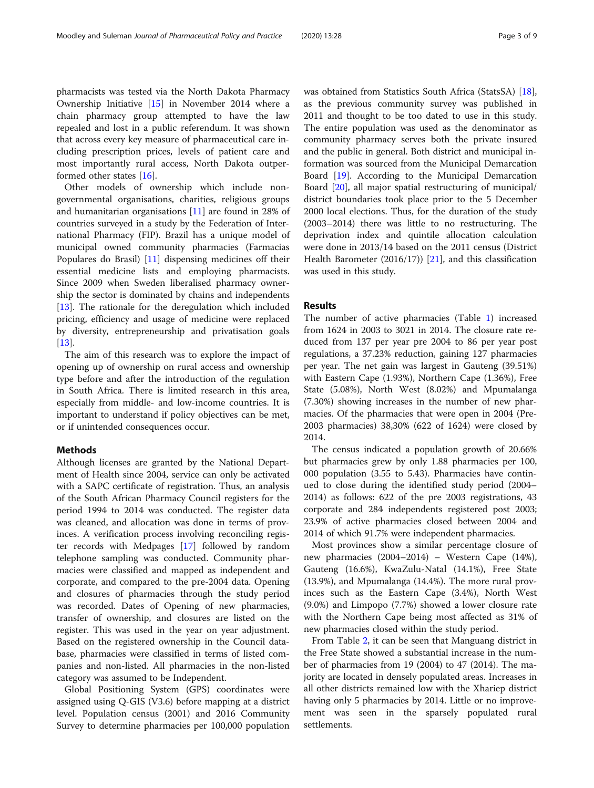pharmacists was tested via the North Dakota Pharmacy Ownership Initiative [\[15](#page-8-0)] in November 2014 where a chain pharmacy group attempted to have the law repealed and lost in a public referendum. It was shown that across every key measure of pharmaceutical care including prescription prices, levels of patient care and most importantly rural access, North Dakota outperformed other states [[16](#page-8-0)].

Other models of ownership which include nongovernmental organisations, charities, religious groups and humanitarian organisations [\[11\]](#page-8-0) are found in 28% of countries surveyed in a study by the Federation of International Pharmacy (FIP). Brazil has a unique model of municipal owned community pharmacies (Farmacias Populares do Brasil) [[11\]](#page-8-0) dispensing medicines off their essential medicine lists and employing pharmacists. Since 2009 when Sweden liberalised pharmacy ownership the sector is dominated by chains and independents [[13\]](#page-8-0). The rationale for the deregulation which included pricing, efficiency and usage of medicine were replaced by diversity, entrepreneurship and privatisation goals [[13\]](#page-8-0).

The aim of this research was to explore the impact of opening up of ownership on rural access and ownership type before and after the introduction of the regulation in South Africa. There is limited research in this area, especially from middle- and low-income countries. It is important to understand if policy objectives can be met, or if unintended consequences occur.

# **Methods**

Although licenses are granted by the National Department of Health since 2004, service can only be activated with a SAPC certificate of registration. Thus, an analysis of the South African Pharmacy Council registers for the period 1994 to 2014 was conducted. The register data was cleaned, and allocation was done in terms of provinces. A verification process involving reconciling register records with Medpages [[17\]](#page-8-0) followed by random telephone sampling was conducted. Community pharmacies were classified and mapped as independent and corporate, and compared to the pre-2004 data. Opening and closures of pharmacies through the study period was recorded. Dates of Opening of new pharmacies, transfer of ownership, and closures are listed on the register. This was used in the year on year adjustment. Based on the registered ownership in the Council database, pharmacies were classified in terms of listed companies and non-listed. All pharmacies in the non-listed category was assumed to be Independent.

Global Positioning System (GPS) coordinates were assigned using Q-GIS (V3.6) before mapping at a district level. Population census (2001) and 2016 Community Survey to determine pharmacies per 100,000 population was obtained from Statistics South Africa (StatsSA) [\[18](#page-8-0)], as the previous community survey was published in 2011 and thought to be too dated to use in this study. The entire population was used as the denominator as community pharmacy serves both the private insured and the public in general. Both district and municipal information was sourced from the Municipal Demarcation Board [[19\]](#page-8-0). According to the Municipal Demarcation Board [[20\]](#page-8-0), all major spatial restructuring of municipal/ district boundaries took place prior to the 5 December 2000 local elections. Thus, for the duration of the study (2003–2014) there was little to no restructuring. The deprivation index and quintile allocation calculation were done in 2013/14 based on the 2011 census (District Health Barometer  $(2016/17)$  [\[21\]](#page-8-0), and this classification was used in this study.

# Results

The number of active pharmacies (Table [1](#page-3-0)) increased from 1624 in 2003 to 3021 in 2014. The closure rate reduced from 137 per year pre 2004 to 86 per year post regulations, a 37.23% reduction, gaining 127 pharmacies per year. The net gain was largest in Gauteng (39.51%) with Eastern Cape (1.93%), Northern Cape (1.36%), Free State (5.08%), North West (8.02%) and Mpumalanga (7.30%) showing increases in the number of new pharmacies. Of the pharmacies that were open in 2004 (Pre-2003 pharmacies) 38,30% (622 of 1624) were closed by 2014.

The census indicated a population growth of 20.66% but pharmacies grew by only 1.88 pharmacies per 100, 000 population (3.55 to 5.43). Pharmacies have continued to close during the identified study period (2004– 2014) as follows: 622 of the pre 2003 registrations, 43 corporate and 284 independents registered post 2003; 23.9% of active pharmacies closed between 2004 and 2014 of which 91.7% were independent pharmacies.

Most provinces show a similar percentage closure of new pharmacies (2004–2014) – Western Cape (14%), Gauteng (16.6%), KwaZulu-Natal (14.1%), Free State (13.9%), and Mpumalanga (14.4%). The more rural provinces such as the Eastern Cape (3.4%), North West (9.0%) and Limpopo (7.7%) showed a lower closure rate with the Northern Cape being most affected as 31% of new pharmacies closed within the study period.

From Table [2,](#page-4-0) it can be seen that Manguang district in the Free State showed a substantial increase in the number of pharmacies from 19 (2004) to 47 (2014). The majority are located in densely populated areas. Increases in all other districts remained low with the Xhariep district having only 5 pharmacies by 2014. Little or no improvement was seen in the sparsely populated rural settlements.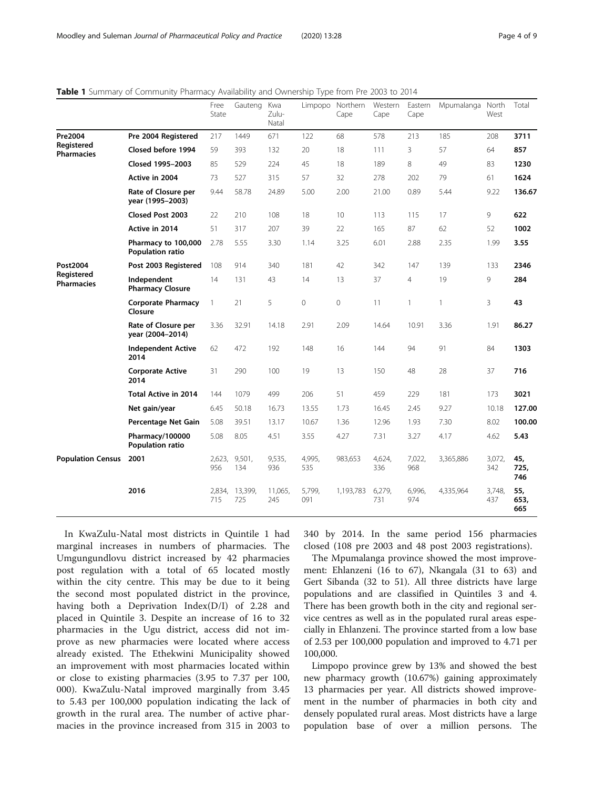|                                             |                                         | Free<br>State | Gauteng        | Kwa<br>Zulu-<br>Natal | Limpopo       | Northern<br>Cape | Western<br>Cape | Eastern<br>Cape | Mpumalanga North | West          | Total              |
|---------------------------------------------|-----------------------------------------|---------------|----------------|-----------------------|---------------|------------------|-----------------|-----------------|------------------|---------------|--------------------|
| <b>Pre2004</b>                              | Pre 2004 Registered                     | 217           | 1449           | 671                   | 122           | 68               | 578             | 213             | 185              | 208           | 3711               |
| Registered<br>Pharmacies                    | Closed before 1994                      | 59            | 393            | 132                   | 20            | 18               | 111             | 3               | 57               | 64            | 857                |
|                                             | Closed 1995-2003                        | 85            | 529            | 224                   | 45            | 18               | 189             | 8               | 49               | 83            | 1230               |
|                                             | Active in 2004                          | 73            | 527            | 315                   | 57            | 32               | 278             | 202             | 79               | 61            | 1624               |
|                                             | Rate of Closure per<br>year (1995-2003) | 9.44          | 58.78          | 24.89                 | 5.00          | 2.00             | 21.00           | 0.89            | 5.44             | 9.22          | 136.67             |
|                                             | Closed Post 2003                        | 22            | 210            | 108                   | 18            | 10               | 113             | 115             | 17               | 9             | 622                |
|                                             | Active in 2014                          | 51            | 317            | 207                   | 39            | 22               | 165             | 87              | 62               | 52            | 1002               |
|                                             | Pharmacy to 100,000<br>Population ratio | 2.78          | 5.55           | 3.30                  | 1.14          | 3.25             | 6.01            | 2.88            | 2.35             | 1.99          | 3.55               |
| Post2004<br>Registered<br><b>Pharmacies</b> | Post 2003 Registered                    | 108           | 914            | 340                   | 181           | 42               | 342             | 147             | 139              | 133           | 2346               |
|                                             | Independent<br><b>Pharmacy Closure</b>  | 14            | 131            | 43                    | 14            | 13               | 37              | $\overline{4}$  | 19               | 9             | 284                |
|                                             | <b>Corporate Pharmacy</b><br>Closure    | $\mathbf{1}$  | 21             | 5                     | 0             | 0                | 11              | $\mathbf{1}$    | $\mathbf{1}$     | 3             | 43                 |
|                                             | Rate of Closure per<br>year (2004-2014) | 3.36          | 32.91          | 14.18                 | 2.91          | 2.09             | 14.64           | 10.91           | 3.36             | 1.91          | 86.27              |
|                                             | <b>Independent Active</b><br>2014       | 62            | 472            | 192                   | 148           | 16               | 144             | 94              | 91               | 84            | 1303               |
|                                             | <b>Corporate Active</b><br>2014         | 31            | 290            | 100                   | 19            | 13               | 150             | 48              | 28               | 37            | 716                |
|                                             | <b>Total Active in 2014</b>             | 144           | 1079           | 499                   | 206           | 51               | 459             | 229             | 181              | 173           | 3021               |
|                                             | Net gain/year                           | 6.45          | 50.18          | 16.73                 | 13.55         | 1.73             | 16.45           | 2.45            | 9.27             | 10.18         | 127.00             |
|                                             | Percentage Net Gain                     | 5.08          | 39.51          | 13.17                 | 10.67         | 1.36             | 12.96           | 1.93            | 7.30             | 8.02          | 100.00             |
|                                             | Pharmacy/100000<br>Population ratio     | 5.08          | 8.05           | 4.51                  | 3.55          | 4.27             | 7.31            | 3.27            | 4.17             | 4.62          | 5.43               |
| <b>Population Census</b>                    | 2001                                    | 2,623,<br>956 | 9,501,<br>134  | 9,535,<br>936         | 4,995,<br>535 | 983,653          | 4,624,<br>336   | 7,022,<br>968   | 3,365,886        | 3,072,<br>342 | 45,<br>725,<br>746 |
|                                             | 2016                                    | 2,834,<br>715 | 13,399,<br>725 | 11,065,<br>245        | 5,799,<br>091 | 1,193,783        | 6,279,<br>731   | 6,996,<br>974   | 4,335,964        | 3,748,<br>437 | 55,<br>653,<br>665 |

<span id="page-3-0"></span>Table 1 Summary of Community Pharmacy Availability and Ownership Type from Pre 2003 to 2014

In KwaZulu-Natal most districts in Quintile 1 had marginal increases in numbers of pharmacies. The Umgungundlovu district increased by 42 pharmacies post regulation with a total of 65 located mostly within the city centre. This may be due to it being the second most populated district in the province, having both a Deprivation Index(D/I) of 2.28 and placed in Quintile 3. Despite an increase of 16 to 32 pharmacies in the Ugu district, access did not improve as new pharmacies were located where access already existed. The Ethekwini Municipality showed an improvement with most pharmacies located within or close to existing pharmacies (3.95 to 7.37 per 100, 000). KwaZulu-Natal improved marginally from 3.45 to 5.43 per 100,000 population indicating the lack of growth in the rural area. The number of active pharmacies in the province increased from 315 in 2003 to 340 by 2014. In the same period 156 pharmacies closed (108 pre 2003 and 48 post 2003 registrations).

The Mpumalanga province showed the most improvement: Ehlanzeni (16 to 67), Nkangala (31 to 63) and Gert Sibanda (32 to 51). All three districts have large populations and are classified in Quintiles 3 and 4. There has been growth both in the city and regional service centres as well as in the populated rural areas especially in Ehlanzeni. The province started from a low base of 2.53 per 100,000 population and improved to 4.71 per 100,000.

Limpopo province grew by 13% and showed the best new pharmacy growth (10.67%) gaining approximately 13 pharmacies per year. All districts showed improvement in the number of pharmacies in both city and densely populated rural areas. Most districts have a large population base of over a million persons. The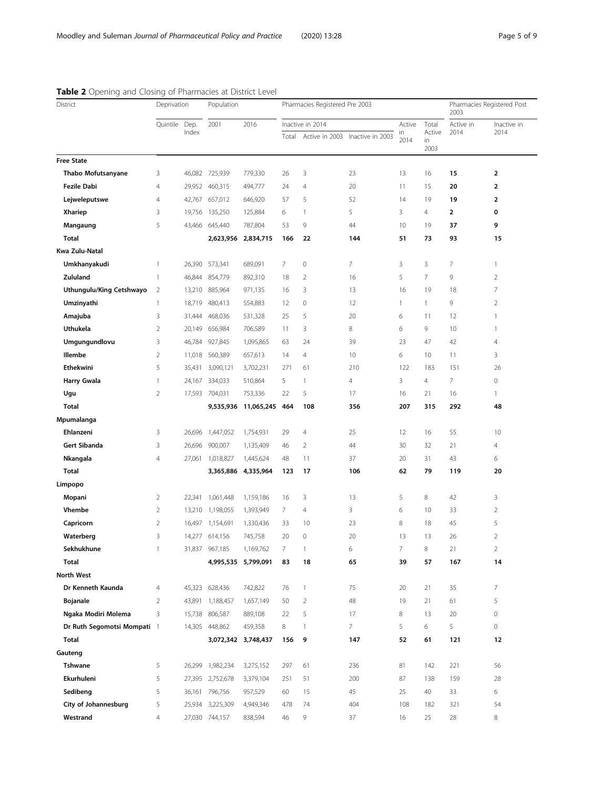| $\blacksquare$ operating and elosing of manifectes at<br>District | Deprivation    |               | PISCILLE FOR CI<br>Population |                     | Pharmacies Registered Pre 2003 |                  |                  |                |                      | Pharmacies Registered Post<br>2003 |                         |
|-------------------------------------------------------------------|----------------|---------------|-------------------------------|---------------------|--------------------------------|------------------|------------------|----------------|----------------------|------------------------------------|-------------------------|
|                                                                   | Quintile       | Dep.<br>Index | 2001                          | 2016                |                                | Inactive in 2014 | Active           | Total          | Active in            | Inactive in                        |                         |
|                                                                   |                |               |                               |                     | Total                          | Active in 2003   | Inactive in 2003 | in<br>2014     | Active<br>in<br>2003 | 2014                               | 2014                    |
| <b>Free State</b>                                                 |                |               |                               |                     |                                |                  |                  |                |                      |                                    |                         |
| Thabo Mofutsanyane                                                | 3              |               | 46,082 725,939                | 779,330             | 26                             | 3                | 23               | 13             | 16                   | 15                                 | $\overline{\mathbf{2}}$ |
| Fezile Dabi                                                       | 4              | 29,952        | 460,315                       | 494,777             | 24                             | 4                | 20               | 11             | 15                   | 20                                 | 2                       |
| Lejweleputswe                                                     | 4              | 42,767        | 657,012                       | 646,920             | 57                             | 5                | 52               | 14             | 19                   | 19                                 | $\overline{\mathbf{2}}$ |
| Xhariep                                                           | 3              | 19,756        | 135,250                       | 125,884             | 6                              | $\mathbf{1}$     | 5                | 3              | $\overline{4}$       | $\overline{\mathbf{2}}$            | 0                       |
| Mangaung                                                          | 5              | 43,466        | 645,440                       | 787,804             | 53                             | 9                | 44               | 10             | 19                   | 37                                 | 9                       |
| Total                                                             |                |               |                               | 2,623,956 2,834,715 | 166                            | 22               | 144              | 51             | 73                   | 93                                 | 15                      |
| Kwa Zulu-Natal                                                    |                |               |                               |                     |                                |                  |                  |                |                      |                                    |                         |
| Umkhanyakudi                                                      | 1              | 26,390        | 573,341                       | 689,091             | $\overline{7}$                 | $\mathbf 0$      | 7                | 3              | 3                    | 7                                  | 1                       |
| Zululand                                                          | $\mathbf{1}$   | 46,844        | 854,779                       | 892,310             | 18                             | $\overline{2}$   | 16               | 5              | $\overline{7}$       | 9                                  | $\overline{2}$          |
| Uthungulu/King Cetshwayo                                          | $\overline{2}$ | 13,210        | 885,964                       | 971,135             | 16                             | 3                | 13               | 16             | 19                   | 18                                 | 7                       |
| Umzinyathi                                                        | 1              | 18,719        | 480,413                       | 554,883             | 12                             | $\mathbf 0$      | 12               | 1              | $\mathbf{1}$         | 9                                  | $\overline{2}$          |
| Amajuba                                                           | 3              | 31,444        | 468,036                       | 531,328             | 25                             | 5                | 20               | 6              | 11                   | 12                                 | $\mathbf{1}$            |
| Uthukela                                                          | $\overline{2}$ | 20,149        | 656,984                       | 706,589             | 11                             | 3                | 8                | 6              | 9                    | 10                                 | $\mathbf{1}$            |
| Umgungundlovu                                                     | 3              | 46,784        | 927,845                       | 1,095,865           | 63                             | 24               | 39               | 23             | 47                   | 42                                 | $\overline{4}$          |
| Illembe                                                           | $\overline{2}$ | 11,018        | 560,389                       | 657,613             | 14                             | $\overline{4}$   | 10               | 6              | 10                   | 11                                 | 3                       |
| Ethekwini                                                         | 5              | 35,431        | 3,090,121                     | 3,702,231           | 271                            | 61               | 210              | 122            | 183                  | 151                                | 26                      |
| <b>Harry Gwala</b>                                                | 1              | 24,167        | 334,033                       | 510,864             | 5                              | 1                | 4                | 3              | 4                    | 7                                  | $\mathbb O$             |
| Ugu                                                               | $\overline{2}$ | 17,593        | 704,031                       | 753,336             | 22                             | 5                | 17               | 16             | 21                   | 16                                 | $\mathbf{1}$            |
| <b>Total</b>                                                      |                |               | 9,535,936                     | 11,065,245 464      |                                | 108              | 356              | 207            | 315                  | 292                                | 48                      |
| Mpumalanga                                                        |                |               |                               |                     |                                |                  |                  |                |                      |                                    |                         |
| Ehlanzeni                                                         | 3              | 26,696        | 1,447,052                     | 1,754,931           | 29                             | $\overline{4}$   | 25               | 12             | 16                   | 55                                 | 10                      |
| Gert Sibanda                                                      | 3              | 26,696        | 900,007                       | 1,135,409           | 46                             | $\overline{2}$   | 44               | 30             | 32                   | 21                                 | 4                       |
| Nkangala                                                          | 4              | 27,061        | 1,018,827                     | 1,445,624           | 48                             | 11               | 37               | 20             | 31                   | 43                                 | 6                       |
| <b>Total</b>                                                      |                |               | 3,365,886                     | 4,335,964           | 123                            | 17               | 106              | 62             | 79                   | 119                                | 20                      |
| Limpopo                                                           |                |               |                               |                     |                                |                  |                  |                |                      |                                    |                         |
| Mopani                                                            | 2              |               | 22,341 1,061,448              | 1,159,186           | 16                             | 3                | 13               | 5              | 8                    | 42                                 | 3                       |
| <b>Vhembe</b>                                                     | $\overline{2}$ | 13,210        | 1,198,055                     | 1,393,949           | 7                              | $\overline{4}$   | 3                | 6              | 10                   | 33                                 | $\overline{2}$          |
| Capricorn                                                         | $\overline{2}$ | 16,497        | 1,154,691                     | 1,330,436           | 33                             | 10               | 23               | 8              | 18                   | 45                                 | 5                       |
| Waterberg                                                         | 3              |               | 14,277 614,156                | 745,758             | 20                             | $\mathbf 0$      | 20               | 13             | 13                   | 26                                 | $\overline{2}$          |
| Sekhukhune                                                        | 1              | 31,837        | 967,185                       | 1,169,762           | 7                              | 1                | 6                | $\overline{7}$ | 8                    | 21                                 | 2                       |
| Total                                                             |                |               |                               | 4,995,535 5,799,091 | 83                             | 18               | 65               | 39             | 57                   | 167                                | 14                      |
| <b>North West</b>                                                 |                |               |                               |                     |                                |                  |                  |                |                      |                                    |                         |
| Dr Kenneth Kaunda                                                 | 4              |               | 45,323 628,436                | 742,822             | 76                             | $\mathbf{1}$     | 75               | 20             | 21                   | 35                                 | $\overline{7}$          |
| <b>Bojanale</b>                                                   | $\overline{2}$ |               | 43,891 1,188,457              | 1,657,149           | 50                             | $\overline{2}$   | 48               | 19             | 21                   | 61                                 | 5                       |
| Ngaka Modiri Molema                                               | 3              | 15,738        | 806,587                       | 889,108             | 22                             | 5                | 17               | 8              | 13                   | 20                                 | $\circ$                 |
| Dr Ruth Segomotsi Mompati 1                                       |                |               | 14,305 448,862                | 459,358             | 8                              | -1               | 7                | 5              | 6                    | 5                                  | $\circ$                 |
| <b>Total</b>                                                      |                |               |                               | 3,072,342 3,748,437 | 156                            | 9                | 147              | 52             | 61                   | 121                                | 12                      |
| Gauteng                                                           |                |               |                               |                     |                                |                  |                  |                |                      |                                    |                         |
| Tshwane                                                           | 5              | 26,299        | 1,982,234                     | 3,275,152           | 297                            | 61               | 236              | 81             | 142                  | 221                                | 56                      |
| Ekurhuleni                                                        | 5              |               | 27,395 2,752,678              | 3,379,104           | 251                            | 51               | 200              | 87             | 138                  | 159                                | 28                      |
| Sedibeng                                                          | 5              |               | 36,161 796,756                |                     | 60                             | 15               | 45               | 25             | 40                   | 33                                 | 6                       |
|                                                                   |                |               |                               | 957,529             |                                | 74               | 404              | 108            |                      |                                    | 54                      |
| City of Johannesburg<br>Westrand                                  | 5              |               | 25,934 3,225,309              | 4,949,346           | 478                            |                  |                  |                | 182                  | 321                                |                         |
|                                                                   | $\overline{4}$ |               | 27,030 744,157                | 838,594             | 46                             | 9                | 37               | 16             | 25                   | 28                                 | 8                       |

# <span id="page-4-0"></span>Table 2 Opening and Closing of Pharmacies at District Level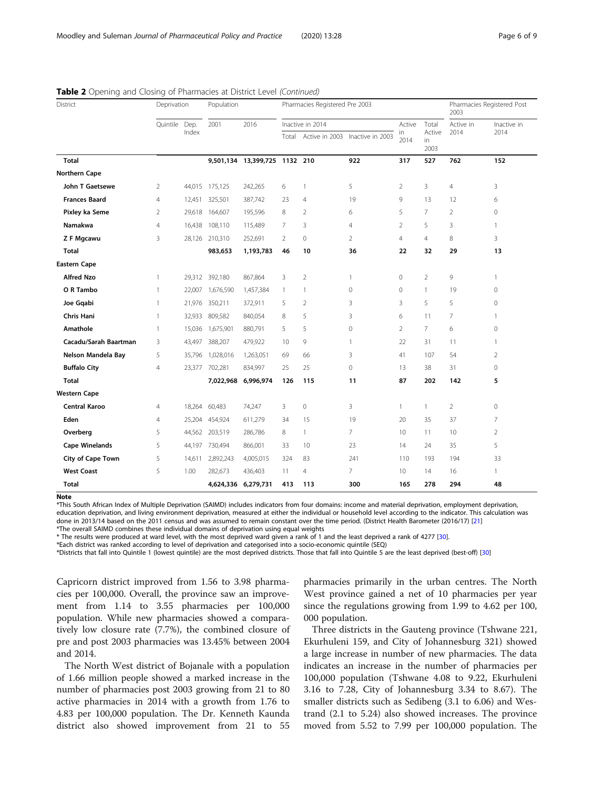| District              | Deprivation    |        | Population     |                               | Pharmacies Registered Pre 2003 |                |                                 |                 |                      | Pharmacies Registered Post<br>2003 |                |
|-----------------------|----------------|--------|----------------|-------------------------------|--------------------------------|----------------|---------------------------------|-----------------|----------------------|------------------------------------|----------------|
|                       | Quintile Dep.  | Index  | 2001           | 2016                          | Inactive in 2014               |                |                                 | Active          | Total                | Active in                          | Inactive in    |
|                       |                |        |                |                               | Total                          |                | Active in 2003 Inactive in 2003 | in<br>2014      | Active<br>in<br>2003 | 2014                               | 2014           |
| Total                 |                |        |                | 9,501,134 13,399,725 1132 210 |                                |                | 922                             | 317             | 527                  | 762                                | 152            |
| <b>Northern Cape</b>  |                |        |                |                               |                                |                |                                 |                 |                      |                                    |                |
| John T Gaetsewe       | $\overline{2}$ | 44,015 | 175,125        | 242,265                       | 6                              | 1              | 5                               | $\overline{2}$  | $\overline{3}$       | $\overline{4}$                     | 3              |
| <b>Frances Baard</b>  | $\overline{4}$ | 12,451 | 325,501        | 387,742                       | 23                             | $\overline{4}$ | 19                              | 9               | 13                   | 12                                 | 6              |
| Pixley ka Seme        | $\overline{2}$ | 29,618 | 164,607        | 195,596                       | 8                              | $\overline{2}$ | 6                               | 5               | 7                    | $\overline{2}$                     | $\mathbf 0$    |
| Namakwa               | 4              | 16,438 | 108,110        | 115,489                       | 7                              | 3              | $\overline{4}$                  | $\overline{2}$  | 5                    | 3                                  | 1              |
| Z F Mgcawu            | 3              |        | 28,126 210,310 | 252,691                       | $\overline{2}$                 | 0              | 2                               | $\overline{4}$  | $\overline{4}$       | 8                                  | 3              |
| Total                 |                |        | 983,653        | 1,193,783                     | 46                             | 10             | 36                              | 22              | 32                   | 29                                 | 13             |
| <b>Eastern Cape</b>   |                |        |                |                               |                                |                |                                 |                 |                      |                                    |                |
| <b>Alfred Nzo</b>     | 1              |        | 29,312 392,180 | 867,864                       | 3                              | $\overline{2}$ | 1                               | $\mathbf 0$     | $\overline{2}$       | 9                                  | 1              |
| O R Tambo             | 1              | 22,007 | 1,676,590      | 1,457,384                     | $\mathbf{1}$                   | 1              | $\mathbf{0}$                    | $\mathbf{0}$    | $\mathbf{1}$         | 19                                 | $\circ$        |
| Joe Gqabi             | 1              | 21,976 | 350,211        | 372,911                       | 5                              | $\overline{2}$ | 3                               | 3               | 5                    | 5                                  | $\mathbf 0$    |
| <b>Chris Hani</b>     | 1              | 32,933 | 809,582        | 840,054                       | 8                              | 5              | 3                               | 6               | 11                   | $\overline{7}$                     | $\mathbf{1}$   |
| Amathole              | 1              | 15,036 | 1,675,901      | 880,791                       | 5                              | 5              | $\mathbf{0}$                    | $\overline{2}$  | $\overline{7}$       | 6                                  | $\mathbf 0$    |
| Cacadu/Sarah Baartman | 3              | 43,497 | 388,207        | 479,922                       | 10                             | 9              | $\mathbf{1}$                    | 22              | 31                   | 11                                 | $\mathbf{1}$   |
| Nelson Mandela Bay    | 5              | 35,796 | 1,028,016      | 1,263,051                     | 69                             | 66             | 3                               | 41              | 107                  | 54                                 | $\overline{2}$ |
| <b>Buffalo City</b>   | $\overline{4}$ | 23,377 | 702,281        | 834,997                       | 25                             | 25             | $\mathbf{0}$                    | 13              | 38                   | 31                                 | $\mathbf 0$    |
| Total                 |                |        | 7,022,968      | 6,996,974                     | 126                            | 115            | 11                              | 87              | 202                  | 142                                | 5              |
| <b>Western Cape</b>   |                |        |                |                               |                                |                |                                 |                 |                      |                                    |                |
| Central Karoo         | 4              | 18,264 | 60,483         | 74,247                        | 3                              | $\mathbf 0$    | 3                               | $\mathbf{1}$    | $\mathbf{1}$         | $\overline{2}$                     | 0              |
| Eden                  | 4              | 25,204 | 454,924        | 611,279                       | 34                             | 15             | 19                              | 20              | 35                   | 37                                 | 7              |
| Overberg              | 5              | 44,562 | 203,519        | 286,786                       | 8                              | 1              | $\overline{7}$                  | 10 <sup>°</sup> | 11                   | 10                                 | $\overline{2}$ |
| <b>Cape Winelands</b> | 5              | 44,197 | 730,494        | 866,001                       | 33                             | 10             | 23                              | 14              | 24                   | 35                                 | 5              |
| City of Cape Town     | 5              | 14,611 | 2,892,243      | 4,005,015                     | 324                            | 83             | 241                             | 110             | 193                  | 194                                | 33             |
| <b>West Coast</b>     | 5              | 1.00   | 282,673        | 436,403                       | 11                             | 4              | $\overline{7}$                  | 10 <sup>°</sup> | 14                   | 16                                 | $\mathbf{1}$   |
| Total                 |                |        |                | 4,624,336 6,279,731           | 413                            | 113            | 300                             | 165             | 278                  | 294                                | 48             |

Table 2 Opening and Closing of Pharmacies at District Level (Continued)

Note

\*This South African Index of Multiple Deprivation (SAIMD) includes indicators from four domains: income and material deprivation, employment deprivation, education deprivation, and living environment deprivation, measured at either the individual or household level according to the indicator. This calculation was done in 2013/14 based on the 2011 census and was assumed to remain constant over the time period. (District Health Barometer (2016/17) [[21](#page-8-0)] \*The overall SAIMD combines these individual domains of deprivation using equal weights

\* The results were produced at ward level, with the most deprived ward given a rank of 1 and the least deprived a rank of 4277 [\[30\]](#page-8-0).

\*Each district was ranked according to level of deprivation and categorised into a socio-economic quintile (SEQ)

\*Districts that fall into Quintile 1 (lowest quintile) are the most deprived districts. Those that fall into Quintile 5 are the least deprived (best-off) [\[30\]](#page-8-0)

Capricorn district improved from 1.56 to 3.98 pharmacies per 100,000. Overall, the province saw an improvement from 1.14 to 3.55 pharmacies per 100,000 population. While new pharmacies showed a comparatively low closure rate (7.7%), the combined closure of pre and post 2003 pharmacies was 13.45% between 2004 and 2014.

The North West district of Bojanale with a population of 1.66 million people showed a marked increase in the number of pharmacies post 2003 growing from 21 to 80 active pharmacies in 2014 with a growth from 1.76 to 4.83 per 100,000 population. The Dr. Kenneth Kaunda district also showed improvement from 21 to 55

pharmacies primarily in the urban centres. The North West province gained a net of 10 pharmacies per year since the regulations growing from 1.99 to 4.62 per 100, 000 population.

Three districts in the Gauteng province (Tshwane 221, Ekurhuleni 159, and City of Johannesburg 321) showed a large increase in number of new pharmacies. The data indicates an increase in the number of pharmacies per 100,000 population (Tshwane 4.08 to 9.22, Ekurhuleni 3.16 to 7.28, City of Johannesburg 3.34 to 8.67). The smaller districts such as Sedibeng (3.1 to 6.06) and Westrand (2.1 to 5.24) also showed increases. The province moved from 5.52 to 7.99 per 100,000 population. The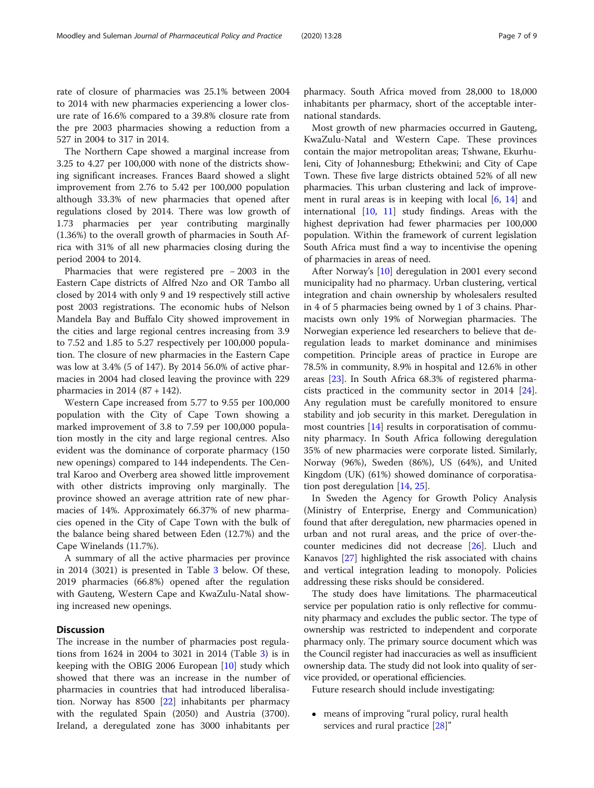rate of closure of pharmacies was 25.1% between 2004 to 2014 with new pharmacies experiencing a lower closure rate of 16.6% compared to a 39.8% closure rate from the pre 2003 pharmacies showing a reduction from a 527 in 2004 to 317 in 2014.

The Northern Cape showed a marginal increase from 3.25 to 4.27 per 100,000 with none of the districts showing significant increases. Frances Baard showed a slight improvement from 2.76 to 5.42 per 100,000 population although 33.3% of new pharmacies that opened after regulations closed by 2014. There was low growth of 1.73 pharmacies per year contributing marginally (1.36%) to the overall growth of pharmacies in South Africa with 31% of all new pharmacies closing during the period 2004 to 2014.

Pharmacies that were registered pre − 2003 in the Eastern Cape districts of Alfred Nzo and OR Tambo all closed by 2014 with only 9 and 19 respectively still active post 2003 registrations. The economic hubs of Nelson Mandela Bay and Buffalo City showed improvement in the cities and large regional centres increasing from 3.9 to 7.52 and 1.85 to 5.27 respectively per 100,000 population. The closure of new pharmacies in the Eastern Cape was low at 3.4% (5 of 147). By 2014 56.0% of active pharmacies in 2004 had closed leaving the province with 229 pharmacies in 2014 (87 + 142).

Western Cape increased from 5.77 to 9.55 per 100,000 population with the City of Cape Town showing a marked improvement of 3.8 to 7.59 per 100,000 population mostly in the city and large regional centres. Also evident was the dominance of corporate pharmacy (150 new openings) compared to 144 independents. The Central Karoo and Overberg area showed little improvement with other districts improving only marginally. The province showed an average attrition rate of new pharmacies of 14%. Approximately 66.37% of new pharmacies opened in the City of Cape Town with the bulk of the balance being shared between Eden (12.7%) and the Cape Winelands (11.7%).

A summary of all the active pharmacies per province in 2014 (3021) is presented in Table [3](#page-7-0) below. Of these, 2019 pharmacies (66.8%) opened after the regulation with Gauteng, Western Cape and KwaZulu-Natal showing increased new openings.

### **Discussion**

The increase in the number of pharmacies post regulations from 1624 in 2004 to 3021 in 2014 (Table [3\)](#page-7-0) is in keeping with the OBIG 2006 European [[10](#page-8-0)] study which showed that there was an increase in the number of pharmacies in countries that had introduced liberalisation. Norway has 8500 [[22\]](#page-8-0) inhabitants per pharmacy with the regulated Spain (2050) and Austria (3700). Ireland, a deregulated zone has 3000 inhabitants per

pharmacy. South Africa moved from 28,000 to 18,000 inhabitants per pharmacy, short of the acceptable international standards.

Most growth of new pharmacies occurred in Gauteng, KwaZulu-Natal and Western Cape. These provinces contain the major metropolitan areas; Tshwane, Ekurhuleni, City of Johannesburg; Ethekwini; and City of Cape Town. These five large districts obtained 52% of all new pharmacies. This urban clustering and lack of improvement in rural areas is in keeping with local [[6,](#page-7-0) [14](#page-8-0)] and international [\[10](#page-8-0), [11](#page-8-0)] study findings. Areas with the highest deprivation had fewer pharmacies per 100,000 population. Within the framework of current legislation South Africa must find a way to incentivise the opening of pharmacies in areas of need.

After Norway's [\[10\]](#page-8-0) deregulation in 2001 every second municipality had no pharmacy. Urban clustering, vertical integration and chain ownership by wholesalers resulted in 4 of 5 pharmacies being owned by 1 of 3 chains. Pharmacists own only 19% of Norwegian pharmacies. The Norwegian experience led researchers to believe that deregulation leads to market dominance and minimises competition. Principle areas of practice in Europe are 78.5% in community, 8.9% in hospital and 12.6% in other areas [\[23](#page-8-0)]. In South Africa 68.3% of registered pharmacists practiced in the community sector in 2014 [\[24](#page-8-0)]. Any regulation must be carefully monitored to ensure stability and job security in this market. Deregulation in most countries [[14\]](#page-8-0) results in corporatisation of community pharmacy. In South Africa following deregulation 35% of new pharmacies were corporate listed. Similarly, Norway (96%), Sweden (86%), US (64%), and United Kingdom (UK) (61%) showed dominance of corporatisation post deregulation [\[14](#page-8-0), [25\]](#page-8-0).

In Sweden the Agency for Growth Policy Analysis (Ministry of Enterprise, Energy and Communication) found that after deregulation, new pharmacies opened in urban and not rural areas, and the price of over-thecounter medicines did not decrease [[26\]](#page-8-0). Lluch and Kanavos [[27](#page-8-0)] highlighted the risk associated with chains and vertical integration leading to monopoly. Policies addressing these risks should be considered.

The study does have limitations. The pharmaceutical service per population ratio is only reflective for community pharmacy and excludes the public sector. The type of ownership was restricted to independent and corporate pharmacy only. The primary source document which was the Council register had inaccuracies as well as insufficient ownership data. The study did not look into quality of service provided, or operational efficiencies.

Future research should include investigating:

 means of improving "rural policy, rural health services and rural practice [\[28](#page-8-0)]"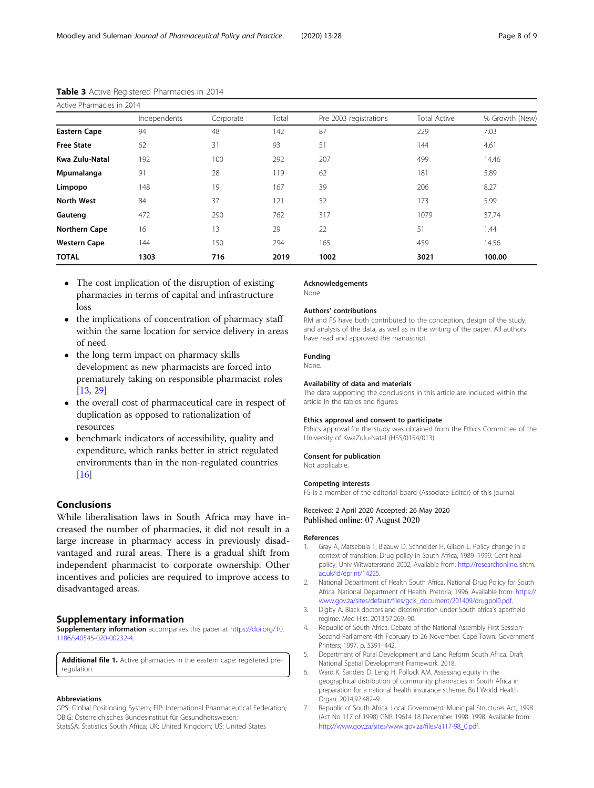| Active Pharmacies in 2014 |              |           |       |                        |                     |                |  |  |  |  |
|---------------------------|--------------|-----------|-------|------------------------|---------------------|----------------|--|--|--|--|
|                           | Independents | Corporate | Total | Pre 2003 registrations | <b>Total Active</b> | % Growth (New) |  |  |  |  |
| <b>Eastern Cape</b>       | 94           | 48        | 142   | 87                     | 229                 | 7.03           |  |  |  |  |
| <b>Free State</b>         | 62           | 31        | 93    | 51                     | 144                 | 4.61           |  |  |  |  |
| Kwa Zulu-Natal            | 192          | 100       | 292   | 207                    | 499                 | 14.46          |  |  |  |  |
| Mpumalanga                | 91           | 28        | 119   | 62                     | 181                 | 5.89           |  |  |  |  |
| Limpopo                   | 148          | 19        | 167   | 39                     | 206                 | 8.27           |  |  |  |  |
| <b>North West</b>         | 84           | 37        | 121   | 52                     | 173                 | 5.99           |  |  |  |  |
| Gauteng                   | 472          | 290       | 762   | 317                    | 1079                | 37.74          |  |  |  |  |
| <b>Northern Cape</b>      | 16           | 13        | 29    | 22                     | 51                  | 1.44           |  |  |  |  |
| <b>Western Cape</b>       | 144          | 150       | 294   | 165                    | 459                 | 14.56          |  |  |  |  |
| <b>TOTAL</b>              | 1303         | 716       | 2019  | 1002                   | 3021                | 100.00         |  |  |  |  |

# <span id="page-7-0"></span>Table 3 Active Registered Pharmacies in 2014

- The cost implication of the disruption of existing pharmacies in terms of capital and infrastructure loss
- the implications of concentration of pharmacy staff within the same location for service delivery in areas of need
- the long term impact on pharmacy skills development as new pharmacists are forced into prematurely taking on responsible pharmacist roles [[13](#page-8-0), [29](#page-8-0)]
- the overall cost of pharmaceutical care in respect of duplication as opposed to rationalization of resources
- benchmark indicators of accessibility, quality and expenditure, which ranks better in strict regulated environments than in the non-regulated countries [[16](#page-8-0)]

# Conclusions

While liberalisation laws in South Africa may have increased the number of pharmacies, it did not result in a large increase in pharmacy access in previously disadvantaged and rural areas. There is a gradual shift from independent pharmacist to corporate ownership. Other incentives and policies are required to improve access to disadvantaged areas.

#### Supplementary information

Supplementary information accompanies this paper at [https://doi.org/10.](https://doi.org/10.1186/s40545-020-00232-4) [1186/s40545-020-00232-4](https://doi.org/10.1186/s40545-020-00232-4).

Additional file 1. Active pharmacies in the eastern cape: registered preregulation.

#### Abbreviations

GPS: Global Positioning System; FIP: International Pharmaceutical Federation; OBIG: Österreichisches Bundesinstitut für Gesundheitswesen; StatsSA: Statistics South Africa; UK: United Kingdom; US: United States

# Acknowledgements

None.

#### Authors' contributions

RM and FS have both contributed to the conception, design of the study, and analysis of the data, as well as in the writing of the paper. All authors have read and approved the manuscript.

#### Funding

None.

#### Availability of data and materials

The data supporting the conclusions in this article are included within the article in the tables and figures.

#### Ethics approval and consent to participate

Ethics approval for the study was obtained from the Ethics Committee of the University of KwaZulu-Natal (HSS/0154/013).

#### Consent for publication

Not applicable.

#### Competing interests

FS is a member of the editorial board (Associate Editor) of this journal.

Received: 2 April 2020 Accepted: 26 May 2020 Published online: 07 August 2020

#### References

- 1. Gray A, Matsebula T, Blaauw D, Schneider H, Gilson L. Policy change in a context of transition: Drug policy in South Africa, 1989–1999. Cent heal policy, Univ Witwatersrand 2002; Available from: [http://researchonline.lshtm.](http://researchonline.lshtm.ac.uk/id/eprint/14225) [ac.uk/id/eprint/14225](http://researchonline.lshtm.ac.uk/id/eprint/14225).
- 2. National Department of Health South Africa. National Drug Policy for South Africa. National Department of Health. Pretoria; 1996. Available from: [https://](https://www.gov.za/sites/default/files/gcis_document/201409/drugpol0.pdf) [www.gov.za/sites/default/files/gcis\\_document/201409/drugpol0.pdf](https://www.gov.za/sites/default/files/gcis_document/201409/drugpol0.pdf).
- 3. Digby A. Black doctors and discrimination under South africa's apartheid regime. Med Hist. 2013;57:269–90.
- 4. Republic of South Africa. Debate of the National Assembly First Session-Second Parliament 4th February to 26 November. Cape Town: Government Printers; 1997. p. 5391–442.
- 5. Department of Rural Development and Land Reform South Africa. Draft National Spatial Development Framework. 2018.
- 6. Ward K, Sanders D, Leng H, Pollock AM. Assessing equity in the geographical distribution of community pharmacies in South Africa in preparation for a national health insurance scheme. Bull World Health Organ. 2014;92:482–9.
- 7. Republic of South Africa. Local Government: Municipal Structures Act, 1998 (Act No 117 of 1998) GNR 19614 18 December 1998. 1998. Available from: [http://www.gov.za/sites/www.gov.za/files/a117-98\\_0.pdf.](http://www.gov.za/sites/www.gov.za/files/a117-98_0.pdf)